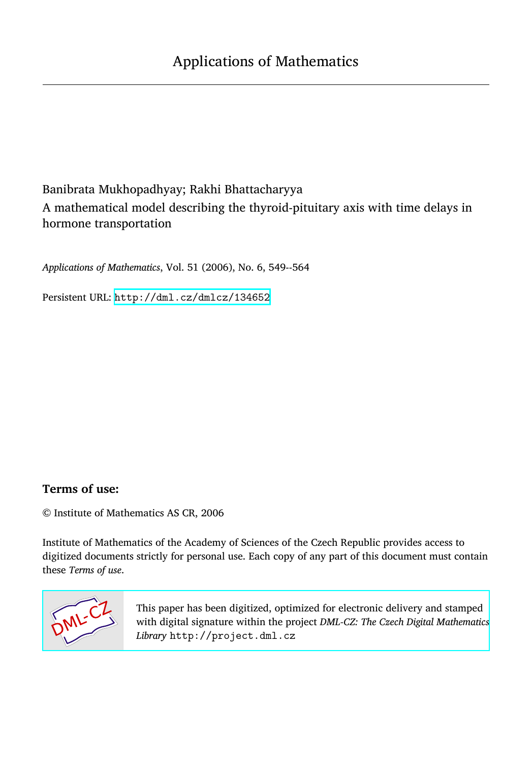# Banibrata Mukhopadhyay; Rakhi Bhattacharyya A mathematical model describing the thyroid-pituitary axis with time delays in hormone transportation

*Applications of Mathematics*, Vol. 51 (2006), No. 6, 549--564

Persistent URL: <http://dml.cz/dmlcz/134652>

# **Terms of use:**

© Institute of Mathematics AS CR, 2006

Institute of Mathematics of the Academy of Sciences of the Czech Republic provides access to digitized documents strictly for personal use. Each copy of any part of this document must contain these *Terms of use*.



[This paper has been digitized, optimized for electronic delivery and stamped](http://project.dml.cz) with digital signature within the project *DML-CZ: The Czech Digital Mathematics Library* http://project.dml.cz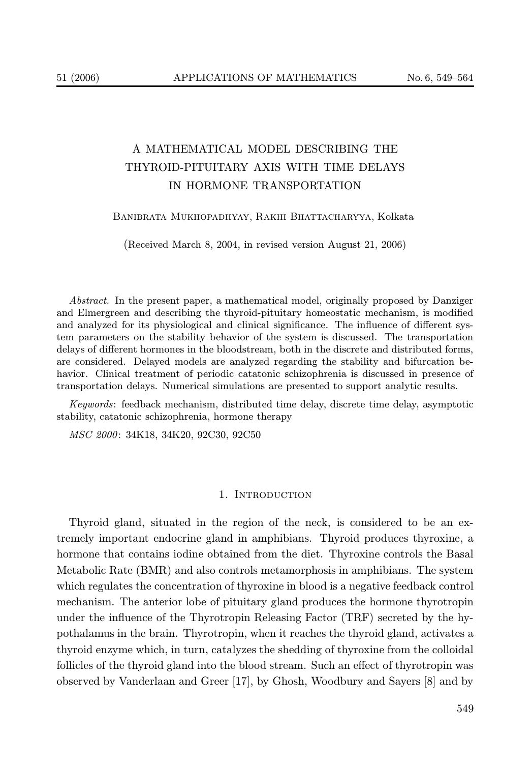# A MATHEMATICAL MODEL DESCRIBING THE THYROID-PITUITARY AXIS WITH TIME DELAYS IN HORMONE TRANSPORTATION

## Banibrata Mukhopadhyay, Rakhi Bhattacharyya, Kolkata

(Received March 8, 2004, in revised version August 21, 2006)

Abstract. In the present paper, a mathematical model, originally proposed by Danziger and Elmergreen and describing the thyroid-pituitary homeostatic mechanism, is modified and analyzed for its physiological and clinical significance. The influence of different system parameters on the stability behavior of the system is discussed. The transportation delays of different hormones in the bloodstream, both in the discrete and distributed forms, are considered. Delayed models are analyzed regarding the stability and bifurcation behavior. Clinical treatment of periodic catatonic schizophrenia is discussed in presence of transportation delays. Numerical simulations are presented to support analytic results.

Keywords: feedback mechanism, distributed time delay, discrete time delay, asymptotic stability, catatonic schizophrenia, hormone therapy

MSC 2000: 34K18, 34K20, 92C30, 92C50

#### 1. INTRODUCTION

Thyroid gland, situated in the region of the neck, is considered to be an extremely important endocrine gland in amphibians. Thyroid produces thyroxine, a hormone that contains iodine obtained from the diet. Thyroxine controls the Basal Metabolic Rate (BMR) and also controls metamorphosis in amphibians. The system which regulates the concentration of thyroxine in blood is a negative feedback control mechanism. The anterior lobe of pituitary gland produces the hormone thyrotropin under the influence of the Thyrotropin Releasing Factor (TRF) secreted by the hypothalamus in the brain. Thyrotropin, when it reaches the thyroid gland, activates a thyroid enzyme which, in turn, catalyzes the shedding of thyroxine from the colloidal follicles of the thyroid gland into the blood stream. Such an effect of thyrotropin was observed by Vanderlaan and Greer [17], by Ghosh, Woodbury and Sayers [8] and by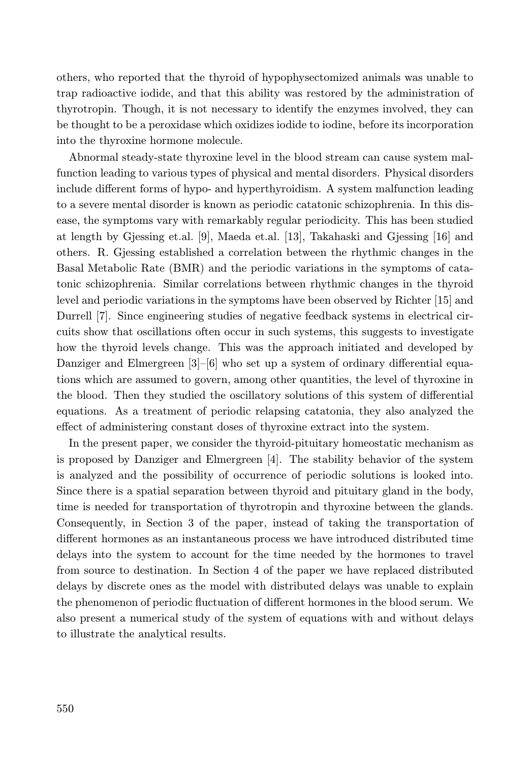others, who reported that the thyroid of hypophysectomized animals was unable to trap radioactive iodide, and that this ability was restored by the administration of thyrotropin. Though, it is not necessary to identify the enzymes involved, they can be thought to be a peroxidase which oxidizes iodide to iodine, before its incorporation into the thyroxine hormone molecule.

Abnormal steady-state thyroxine level in the blood stream can cause system malfunction leading to various types of physical and mental disorders. Physical disorders include different forms of hypo- and hyperthyroidism. A system malfunction leading to a severe mental disorder is known as periodic catatonic schizophrenia. In this disease, the symptoms vary with remarkably regular periodicity. This has been studied at length by Gjessing et.al. [9], Maeda et.al. [13], Takahaski and Gjessing [16] and others. R. Gjessing established a correlation between the rhythmic changes in the Basal Metabolic Rate (BMR) and the periodic variations in the symptoms of catatonic schizophrenia. Similar correlations between rhythmic changes in the thyroid level and periodic variations in the symptoms have been observed by Richter [15] and Durrell [7]. Since engineering studies of negative feedback systems in electrical circuits show that oscillations often occur in such systems, this suggests to investigate how the thyroid levels change. This was the approach initiated and developed by Danziger and Elmergreen [3]–[6] who set up a system of ordinary differential equations which are assumed to govern, among other quantities, the level of thyroxine in the blood. Then they studied the oscillatory solutions of this system of differential equations. As a treatment of periodic relapsing catatonia, they also analyzed the effect of administering constant doses of thyroxine extract into the system.

In the present paper, we consider the thyroid-pituitary homeostatic mechanism as is proposed by Danziger and Elmergreen [4]. The stability behavior of the system is analyzed and the possibility of occurrence of periodic solutions is looked into. Since there is a spatial separation between thyroid and pituitary gland in the body, time is needed for transportation of thyrotropin and thyroxine between the glands. Consequently, in Section 3 of the paper, instead of taking the transportation of different hormones as an instantaneous process we have introduced distributed time delays into the system to account for the time needed by the hormones to travel from source to destination. In Section 4 of the paper we have replaced distributed delays by discrete ones as the model with distributed delays was unable to explain the phenomenon of periodic fluctuation of different hormones in the blood serum. We also present a numerical study of the system of equations with and without delays to illustrate the analytical results.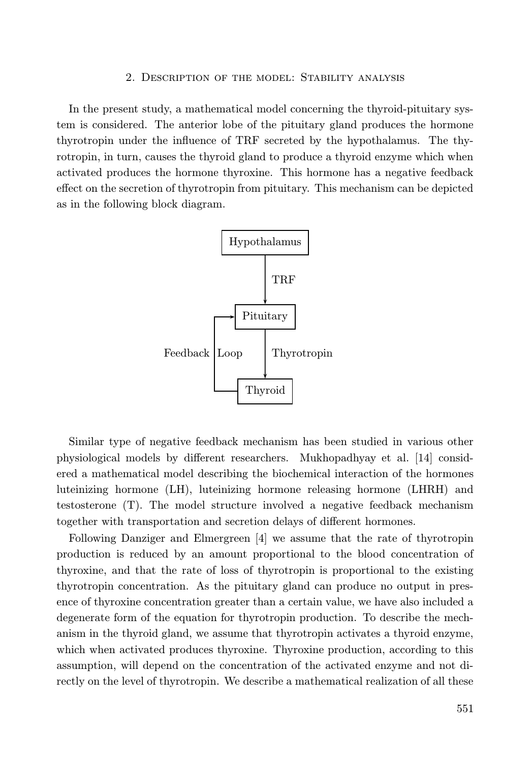# 2. Description of the model: Stability analysis

In the present study, a mathematical model concerning the thyroid-pituitary system is considered. The anterior lobe of the pituitary gland produces the hormone thyrotropin under the influence of TRF secreted by the hypothalamus. The thyrotropin, in turn, causes the thyroid gland to produce a thyroid enzyme which when activated produces the hormone thyroxine. This hormone has a negative feedback effect on the secretion of thyrotropin from pituitary. This mechanism can be depicted as in the following block diagram.



Similar type of negative feedback mechanism has been studied in various other physiological models by different researchers. Mukhopadhyay et al. [14] considered a mathematical model describing the biochemical interaction of the hormones luteinizing hormone (LH), luteinizing hormone releasing hormone (LHRH) and testosterone (T). The model structure involved a negative feedback mechanism together with transportation and secretion delays of different hormones.

Following Danziger and Elmergreen [4] we assume that the rate of thyrotropin production is reduced by an amount proportional to the blood concentration of thyroxine, and that the rate of loss of thyrotropin is proportional to the existing thyrotropin concentration. As the pituitary gland can produce no output in presence of thyroxine concentration greater than a certain value, we have also included a degenerate form of the equation for thyrotropin production. To describe the mechanism in the thyroid gland, we assume that thyrotropin activates a thyroid enzyme, which when activated produces thyroxine. Thyroxine production, according to this assumption, will depend on the concentration of the activated enzyme and not directly on the level of thyrotropin. We describe a mathematical realization of all these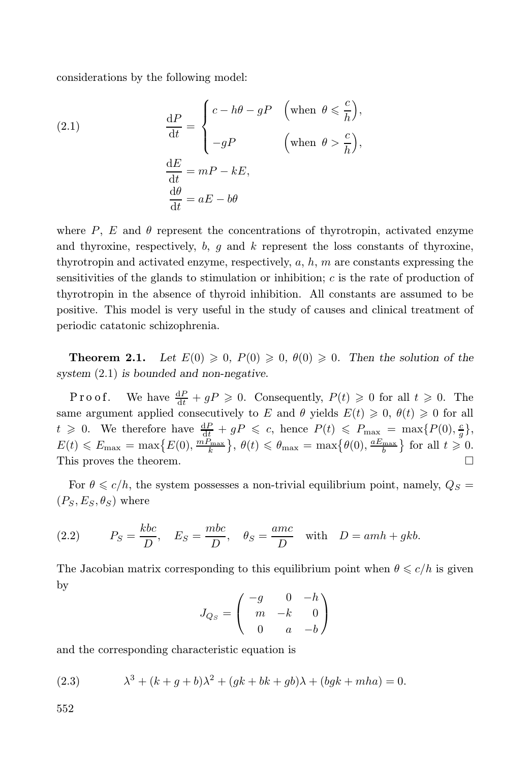considerations by the following model:

(2.1) 
$$
\frac{dP}{dt} = \begin{cases} c - h\theta - gP & \text{(when } \theta \leq \frac{c}{h}, \\ -gP & \text{(when } \theta > \frac{c}{h}, \\ \frac{dE}{dt} = mP - kE, \\ \frac{d\theta}{dt} = aE - b\theta \end{cases}
$$

where P, E and  $\theta$  represent the concentrations of thyrotropin, activated enzyme and thyroxine, respectively,  $b, g$  and  $k$  represent the loss constants of thyroxine, thyrotropin and activated enzyme, respectively,  $a, h, m$  are constants expressing the sensitivities of the glands to stimulation or inhibition;  $c$  is the rate of production of thyrotropin in the absence of thyroid inhibition. All constants are assumed to be positive. This model is very useful in the study of causes and clinical treatment of periodic catatonic schizophrenia.

**Theorem 2.1.** Let  $E(0) \ge 0$ ,  $P(0) \ge 0$ ,  $\theta(0) \ge 0$ . Then the solution of the system (2.1) is bounded and non-negative.

Proof. We have  $\frac{dP}{dt} + gP \geq 0$ . Consequently,  $P(t) \geq 0$  for all  $t \geq 0$ . The same argument applied consecutively to E and  $\theta$  yields  $E(t) \geq 0$ ,  $\theta(t) \geq 0$  for all  $t \geqslant 0$ . We therefore have  $\frac{dP}{dt} + gP \leqslant c$ , hence  $P(t) \leqslant P_{\text{max}} = \max\{P(0), \frac{c}{g}\},$  $E(t) \leq E_{\text{max}} = \max\left\{E(0), \frac{mP_{\text{max}}}{k}\right\}, \ \theta(t) \leq \theta_{\text{max}} = \max\left\{\theta(0), \frac{aE_{\text{max}}}{b}\right\}$  for all  $t \geq 0$ . This proves the theorem.

For  $\theta \leq c/h$ , the system possesses a non-trivial equilibrium point, namely,  $Q_S =$  $(P_S, E_S, \theta_S)$  where

(2.2) 
$$
P_S = \frac{kbc}{D}
$$
,  $E_S = \frac{mbc}{D}$ ,  $\theta_S = \frac{amc}{D}$  with  $D = amh + gkb$ .

The Jacobian matrix corresponding to this equilibrium point when  $\theta \leq c/h$  is given by

$$
J_{Q_S} = \begin{pmatrix} -g & 0 & -h \\ m & -k & 0 \\ 0 & a & -b \end{pmatrix}
$$

and the corresponding characteristic equation is

 $(2.3)$  $3 + (k + g + b)\lambda^2 + (gk + bk + gb)\lambda + (bgk + mha) = 0.$ 

552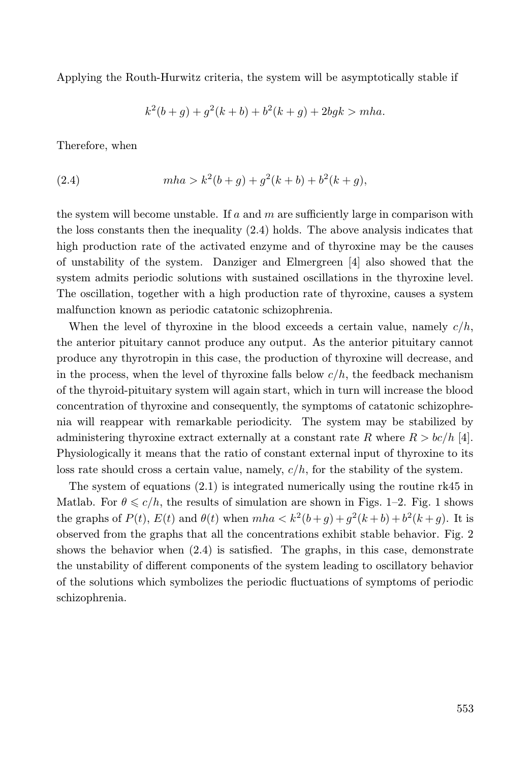Applying the Routh-Hurwitz criteria, the system will be asymptotically stable if

$$
k^{2}(b+g) + g^{2}(k+b) + b^{2}(k+g) + 2bgk > mha.
$$

Therefore, when

(2.4) 
$$
mha > k^2(b+g) + g^2(k+b) + b^2(k+g),
$$

the system will become unstable. If a and  $m$  are sufficiently large in comparison with the loss constants then the inequality (2.4) holds. The above analysis indicates that high production rate of the activated enzyme and of thyroxine may be the causes of unstability of the system. Danziger and Elmergreen [4] also showed that the system admits periodic solutions with sustained oscillations in the thyroxine level. The oscillation, together with a high production rate of thyroxine, causes a system malfunction known as periodic catatonic schizophrenia.

When the level of thyroxine in the blood exceeds a certain value, namely  $c/h$ , the anterior pituitary cannot produce any output. As the anterior pituitary cannot produce any thyrotropin in this case, the production of thyroxine will decrease, and in the process, when the level of thyroxine falls below  $c/h$ , the feedback mechanism of the thyroid-pituitary system will again start, which in turn will increase the blood concentration of thyroxine and consequently, the symptoms of catatonic schizophrenia will reappear with remarkable periodicity. The system may be stabilized by administering thyroxine extract externally at a constant rate R where  $R > bc/h$  [4]. Physiologically it means that the ratio of constant external input of thyroxine to its loss rate should cross a certain value, namely,  $c/h$ , for the stability of the system.

The system of equations  $(2.1)$  is integrated numerically using the routine rk45 in Matlab. For  $\theta \leqslant c/h$ , the results of simulation are shown in Figs. 1–2. Fig. 1 shows the graphs of  $P(t)$ ,  $E(t)$  and  $\theta(t)$  when  $mha < k^2(b+g) + g^2(k+b) + b^2(k+g)$ . It is observed from the graphs that all the concentrations exhibit stable behavior. Fig. 2 shows the behavior when (2.4) is satisfied. The graphs, in this case, demonstrate the unstability of different components of the system leading to oscillatory behavior of the solutions which symbolizes the periodic fluctuations of symptoms of periodic schizophrenia.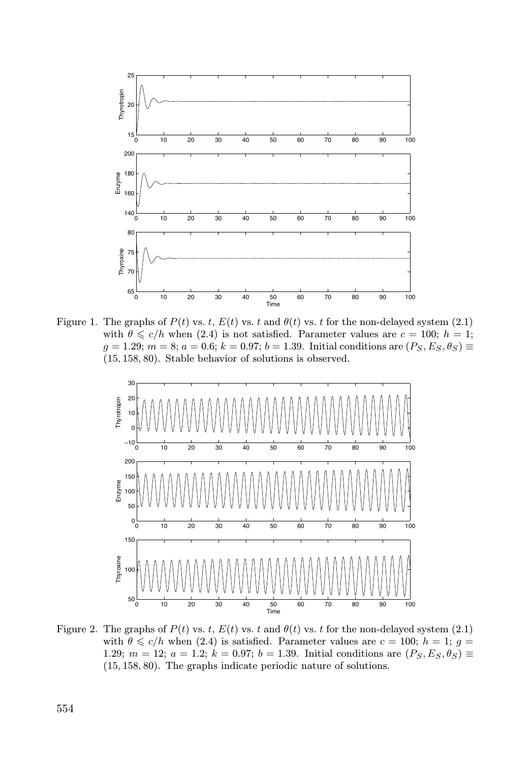

Figure 1. The graphs of  $P(t)$  vs. t,  $E(t)$  vs. t and  $\theta(t)$  vs. t for the non-delayed system (2.1) with  $\theta \leq c/h$  when (2.4) is not satisfied. Parameter values are  $c = 100$ ;  $h = 1$ ;  $g = 1.29; m = 8; a = 0.6; k = 0.97; b = 1.39$ . Initial conditions are  $(P_S, E_S, \theta_S) \equiv$ (15, 158, 80). Stable behavior of solutions is observed.



Figure 2. The graphs of  $P(t)$  vs. t,  $E(t)$  vs. t and  $\theta(t)$  vs. t for the non-delayed system (2.1) with  $\theta \leq c/h$  when (2.4) is satisfied. Parameter values are  $c = 100$ ;  $h = 1$ ;  $g =$ 1.29;  $m = 12$ ;  $a = 1.2$ ;  $k = 0.97$ ;  $b = 1.39$ . Initial conditions are  $(P_S, E_S, \theta_S) \equiv$ (15, 158, 80). The graphs indicate periodic nature of solutions.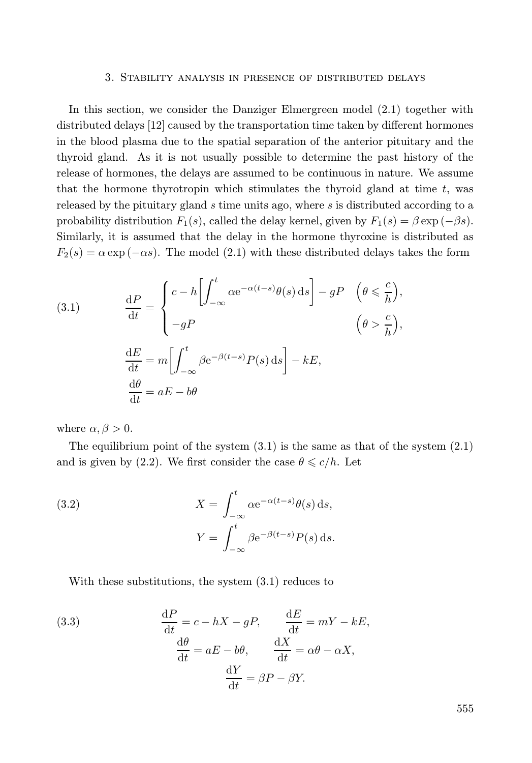#### 3. Stability analysis in presence of distributed delays

In this section, we consider the Danziger Elmergreen model (2.1) together with distributed delays [12] caused by the transportation time taken by different hormones in the blood plasma due to the spatial separation of the anterior pituitary and the thyroid gland. As it is not usually possible to determine the past history of the release of hormones, the delays are assumed to be continuous in nature. We assume that the hormone thyrotropin which stimulates the thyroid gland at time  $t$ , was released by the pituitary gland s time units ago, where s is distributed according to a probability distribution  $F_1(s)$ , called the delay kernel, given by  $F_1(s) = \beta \exp(-\beta s)$ . Similarly, it is assumed that the delay in the hormone thyroxine is distributed as  $F_2(s) = \alpha \exp(-\alpha s)$ . The model (2.1) with these distributed delays takes the form

(3.1) 
$$
\frac{dP}{dt} = \begin{cases} c - h \left[ \int_{-\infty}^{t} \alpha e^{-\alpha(t-s)} \theta(s) ds \right] - gP & (\theta \leq \frac{c}{h}), \\ -gP & (\theta > \frac{c}{h}), \end{cases}
$$

$$
\frac{dE}{dt} = m \left[ \int_{-\infty}^{t} \beta e^{-\beta(t-s)} P(s) ds \right] - kE,
$$

$$
\frac{d\theta}{dt} = aE - b\theta
$$

where  $\alpha, \beta > 0$ .

The equilibrium point of the system  $(3.1)$  is the same as that of the system  $(2.1)$ and is given by (2.2). We first consider the case  $\theta \leq c/h$ . Let

(3.2) 
$$
X = \int_{-\infty}^{t} \alpha e^{-\alpha(t-s)} \theta(s) ds,
$$

$$
Y = \int_{-\infty}^{t} \beta e^{-\beta(t-s)} P(s) ds.
$$

With these substitutions, the system (3.1) reduces to

(3.3) 
$$
\frac{dP}{dt} = c - hX - gP, \qquad \frac{dE}{dt} = mY - kE,
$$

$$
\frac{d\theta}{dt} = aE - b\theta, \qquad \frac{dX}{dt} = \alpha\theta - \alpha X,
$$

$$
\frac{dY}{dt} = \beta P - \beta Y.
$$

555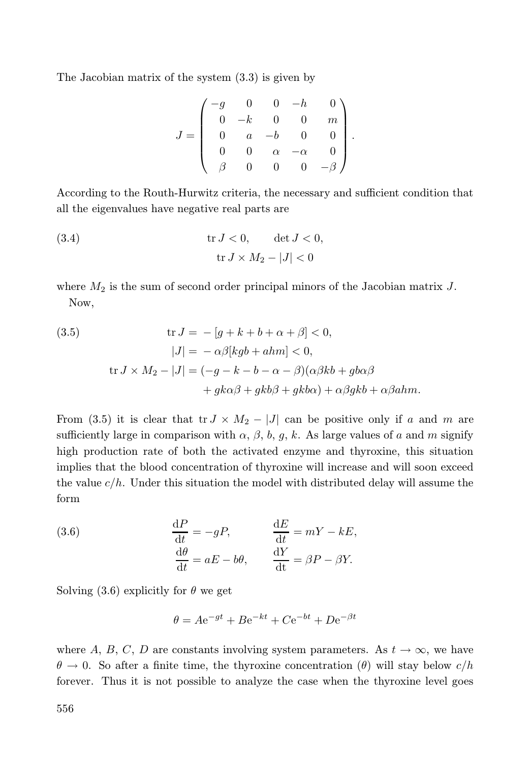The Jacobian matrix of the system (3.3) is given by

$$
J = \begin{pmatrix} -g & 0 & 0 & -h & 0 \\ 0 & -k & 0 & 0 & m \\ 0 & a & -b & 0 & 0 \\ 0 & 0 & \alpha & -\alpha & 0 \\ \beta & 0 & 0 & 0 & -\beta \end{pmatrix}.
$$

According to the Routh-Hurwitz criteria, the necessary and sufficient condition that all the eigenvalues have negative real parts are

(3.4) 
$$
\operatorname{tr} J < 0, \qquad \det J < 0,
$$

$$
\operatorname{tr} J \times M_2 - |J| < 0
$$

where  $M_2$  is the sum of second order principal minors of the Jacobian matrix  $J$ . Now,

(3.5) 
$$
\text{tr } J = -[g + k + b + \alpha + \beta] < 0,
$$

$$
|J| = -\alpha\beta[kgb + ahm] < 0,
$$

$$
\text{tr } J \times M_2 - |J| = (-g - k - b - \alpha - \beta)(\alpha\beta kb + gb\alpha\beta + gka\beta + gkb\alpha) + \alpha\beta gkb + \alpha\beta ahm.
$$

From (3.5) it is clear that tr  $J \times M_2 - |J|$  can be positive only if a and m are sufficiently large in comparison with  $\alpha$ ,  $\beta$ ,  $b$ ,  $g$ ,  $k$ . As large values of a and m signify high production rate of both the activated enzyme and thyroxine, this situation implies that the blood concentration of thyroxine will increase and will soon exceed the value  $c/h$ . Under this situation the model with distributed delay will assume the form

(3.6) 
$$
\frac{dP}{dt} = -gP, \qquad \frac{dE}{dt} = mY - kE,
$$

$$
\frac{d\theta}{dt} = aE - b\theta, \qquad \frac{dY}{dt} = \beta P - \beta Y.
$$

Solving (3.6) explicitly for  $\theta$  we get

$$
\theta = Ae^{-gt} + Be^{-kt} + Ce^{-bt} + De^{-\beta t}
$$

where A, B, C, D are constants involving system parameters. As  $t \to \infty$ , we have  $\theta \to 0$ . So after a finite time, the thyroxine concentration  $(\theta)$  will stay below  $c/h$ forever. Thus it is not possible to analyze the case when the thyroxine level goes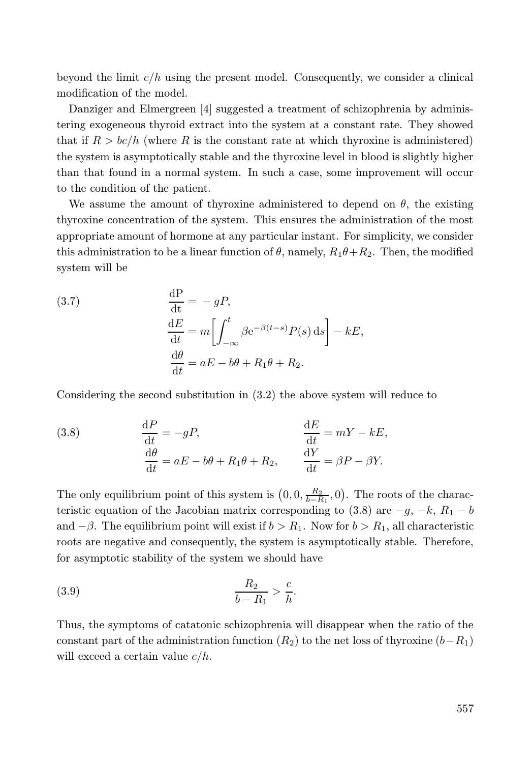beyond the limit  $c/h$  using the present model. Consequently, we consider a clinical modification of the model.

Danziger and Elmergreen [4] suggested a treatment of schizophrenia by administering exogeneous thyroid extract into the system at a constant rate. They showed that if  $R > bc/h$  (where R is the constant rate at which thyroxine is administered) the system is asymptotically stable and the thyroxine level in blood is slightly higher than that found in a normal system. In such a case, some improvement will occur to the condition of the patient.

We assume the amount of thyroxine administered to depend on  $\theta$ , the existing thyroxine concentration of the system. This ensures the administration of the most appropriate amount of hormone at any particular instant. For simplicity, we consider this administration to be a linear function of  $\theta$ , namely,  $R_1\theta + R_2$ . Then, the modified system will be

(3.7) 
$$
\frac{dP}{dt} = -gP,
$$

$$
\frac{dE}{dt} = m \left[ \int_{-\infty}^{t} \beta e^{-\beta(t-s)} P(s) ds \right] - kE,
$$

$$
\frac{d\theta}{dt} = aE - b\theta + R_1 \theta + R_2.
$$

Considering the second substitution in (3.2) the above system will reduce to

(3.8) 
$$
\frac{dP}{dt} = -gP, \qquad \frac{dE}{dt} = mY - kE, \n\frac{d\theta}{dt} = aE - b\theta + R_1\theta + R_2, \qquad \frac{dY}{dt} = \beta P - \beta Y.
$$

The only equilibrium point of this system is  $(0, 0, \frac{R_2}{b-R_1}, 0)$ . The roots of the characteristic equation of the Jacobian matrix corresponding to  $(3.8)$  are  $-g, -k, R_1 - b$ and  $-\beta$ . The equilibrium point will exist if  $b > R_1$ . Now for  $b > R_1$ , all characteristic roots are negative and consequently, the system is asymptotically stable. Therefore, for asymptotic stability of the system we should have

(3.9) 
$$
\frac{R_2}{b - R_1} > \frac{c}{h}.
$$

Thus, the symptoms of catatonic schizophrenia will disappear when the ratio of the constant part of the administration function  $(R_2)$  to the net loss of thyroxine  $(b-R_1)$ will exceed a certain value  $c/h$ .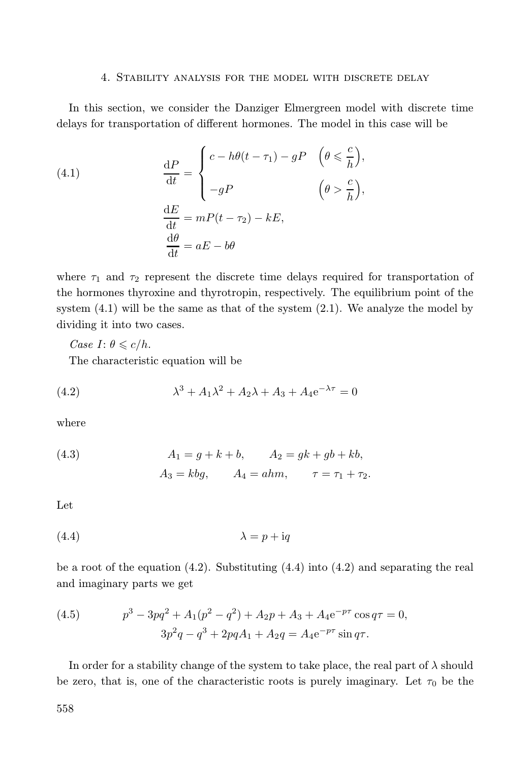# 4. Stability analysis for the model with discrete delay

In this section, we consider the Danziger Elmergreen model with discrete time delays for transportation of different hormones. The model in this case will be

(4.1) 
$$
\frac{dP}{dt} = \begin{cases} c - h\theta(t - \tau_1) - gP & (\theta \leq \frac{c}{h}), \\ -gP & (\theta > \frac{c}{h}), \end{cases}
$$

$$
\frac{dE}{dt} = mP(t - \tau_2) - kE,
$$

$$
\frac{d\theta}{dt} = aE - b\theta
$$

where  $\tau_1$  and  $\tau_2$  represent the discrete time delays required for transportation of the hormones thyroxine and thyrotropin, respectively. The equilibrium point of the system  $(4.1)$  will be the same as that of the system  $(2.1)$ . We analyze the model by dividing it into two cases.

*Case I*:  $\theta \leqslant c/h$ . The characteristic equation will be

(4.2) 
$$
\lambda^3 + A_1 \lambda^2 + A_2 \lambda + A_3 + A_4 e^{-\lambda \tau} = 0
$$

where

(4.3) 
$$
A_1 = g + k + b, \qquad A_2 = gk + gb + kb,
$$
  
 $A_3 = kbg, \qquad A_4 = ahm, \qquad \tau = \tau_1 + \tau_2.$ 

Let

$$
(4.4) \t\t\t \lambda = p + iq
$$

be a root of the equation  $(4.2)$ . Substituting  $(4.4)$  into  $(4.2)$  and separating the real and imaginary parts we get

(4.5) 
$$
p^3 - 3pq^2 + A_1(p^2 - q^2) + A_2p + A_3 + A_4e^{-p\tau}\cos q\tau = 0,
$$

$$
3p^2q - q^3 + 2pqA_1 + A_2q = A_4e^{-p\tau}\sin q\tau.
$$

In order for a stability change of the system to take place, the real part of  $\lambda$  should be zero, that is, one of the characteristic roots is purely imaginary. Let  $\tau_0$  be the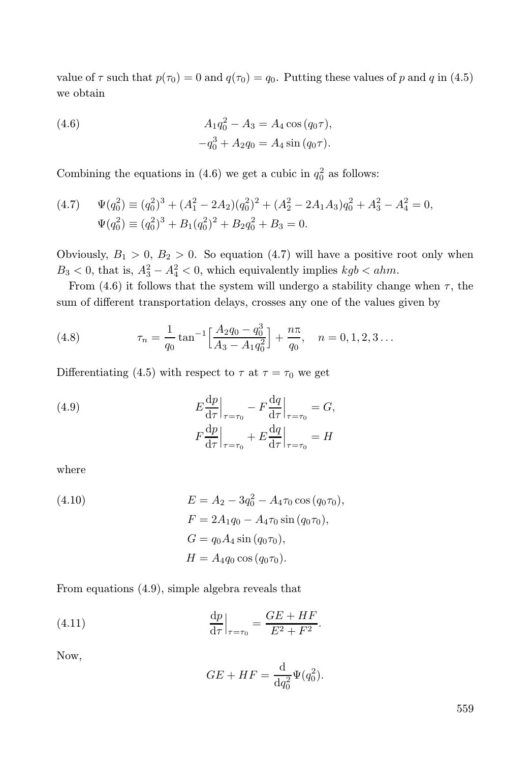value of  $\tau$  such that  $p(\tau_0) = 0$  and  $q(\tau_0) = q_0$ . Putting these values of p and q in (4.5) we obtain

(4.6) 
$$
A_1 q_0^2 - A_3 = A_4 \cos (q_0 \tau),
$$

$$
-q_0^3 + A_2 q_0 = A_4 \sin (q_0 \tau).
$$

Combining the equations in (4.6) we get a cubic in  $q_0^2$  as follows:

(4.7) 
$$
\Psi(q_0^2) \equiv (q_0^2)^3 + (A_1^2 - 2A_2)(q_0^2)^2 + (A_2^2 - 2A_1A_3)q_0^2 + A_3^2 - A_4^2 = 0,
$$
  

$$
\Psi(q_0^2) \equiv (q_0^2)^3 + B_1(q_0^2)^2 + B_2q_0^2 + B_3 = 0.
$$

Obviously,  $B_1 > 0$ ,  $B_2 > 0$ . So equation (4.7) will have a positive root only when  $B_3 < 0$ , that is,  $A_3^2 - A_4^2 < 0$ , which equivalently implies  $kgb < ahm$ .

From (4.6) it follows that the system will undergo a stability change when  $\tau$ , the sum of different transportation delays, crosses any one of the values given by

(4.8) 
$$
\tau_n = \frac{1}{q_0} \tan^{-1} \left[ \frac{A_2 q_0 - q_0^3}{A_3 - A_1 q_0^2} \right] + \frac{n \pi}{q_0}, \quad n = 0, 1, 2, 3 \dots
$$

Differentiating (4.5) with respect to  $\tau$  at  $\tau = \tau_0$  we get

(4.9) 
$$
E\frac{dp}{d\tau}\Big|_{\tau=\tau_0} - F\frac{dq}{d\tau}\Big|_{\tau=\tau_0} = G,
$$

$$
F\frac{dp}{d\tau}\Big|_{\tau=\tau_0} + E\frac{dq}{d\tau}\Big|_{\tau=\tau_0} = H
$$

where

(4.10) 
$$
E = A_2 - 3q_0^2 - A_4 \tau_0 \cos (q_0 \tau_0),
$$

$$
F = 2A_1 q_0 - A_4 \tau_0 \sin (q_0 \tau_0),
$$

$$
G = q_0 A_4 \sin (q_0 \tau_0),
$$

$$
H = A_4 q_0 \cos (q_0 \tau_0).
$$

From equations (4.9), simple algebra reveals that

(4.11) 
$$
\frac{\mathrm{d}p}{\mathrm{d}\tau}\Big|_{\tau=\tau_0} = \frac{GE+HF}{E^2+F^2}.
$$

Now,

$$
GE + HF = \frac{\mathrm{d}}{\mathrm{d}q_0^2} \Psi(q_0^2).
$$

559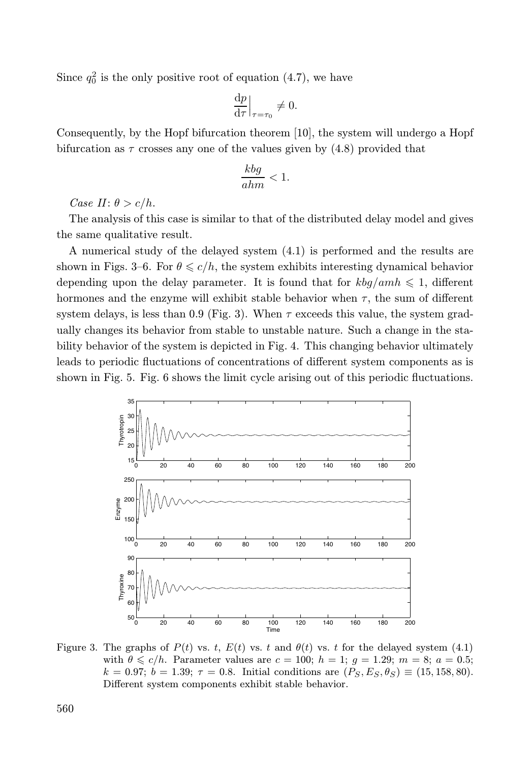Since  $q_0^2$  is the only positive root of equation (4.7), we have

$$
\left. \frac{\mathrm{d}p}{\mathrm{d}\tau} \right|_{\tau = \tau_0} \neq 0.
$$

Consequently, by the Hopf bifurcation theorem [10], the system will undergo a Hopf bifurcation as  $\tau$  crosses any one of the values given by (4.8) provided that

$$
\frac{kbg}{ahm} < 1.
$$

Case II:  $\theta > c/h$ .

The analysis of this case is similar to that of the distributed delay model and gives the same qualitative result.

A numerical study of the delayed system (4.1) is performed and the results are shown in Figs. 3–6. For  $\theta \leq c/h$ , the system exhibits interesting dynamical behavior depending upon the delay parameter. It is found that for  $kbg/amh \leq 1$ , different hormones and the enzyme will exhibit stable behavior when  $\tau$ , the sum of different system delays, is less than 0.9 (Fig. 3). When  $\tau$  exceeds this value, the system gradually changes its behavior from stable to unstable nature. Such a change in the stability behavior of the system is depicted in Fig. 4. This changing behavior ultimately leads to periodic fluctuations of concentrations of different system components as is shown in Fig. 5. Fig. 6 shows the limit cycle arising out of this periodic fluctuations.



Figure 3. The graphs of  $P(t)$  vs. t,  $E(t)$  vs. t and  $\theta(t)$  vs. t for the delayed system (4.1) with  $\theta \leq c/h$ . Parameter values are  $c = 100$ ;  $h = 1$ ;  $g = 1.29$ ;  $m = 8$ ;  $a = 0.5$ ;  $k = 0.97; b = 1.39; \tau = 0.8.$  Initial conditions are  $(P_S, E_S, \theta_S) \equiv (15, 158, 80).$ Different system components exhibit stable behavior.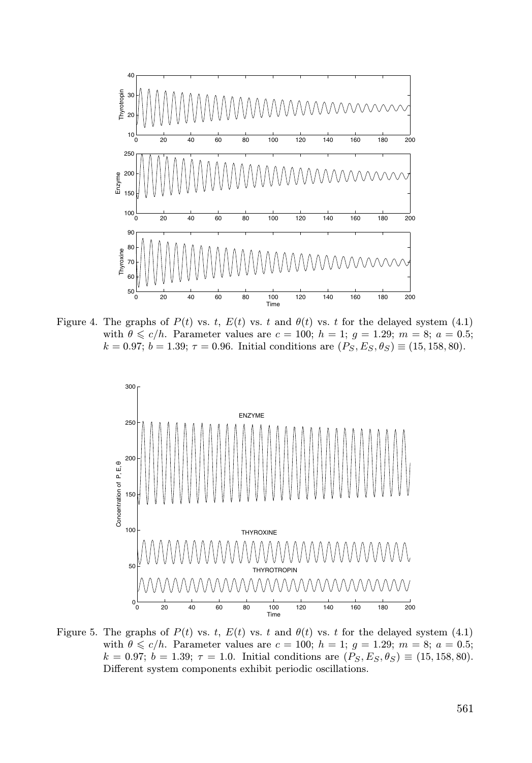

Figure 4. The graphs of  $P(t)$  vs. t,  $E(t)$  vs. t and  $\theta(t)$  vs. t for the delayed system (4.1) with  $\theta \leq c/h$ . Parameter values are  $c = 100$ ;  $h = 1$ ;  $g = 1.29$ ;  $m = 8$ ;  $a = 0.5$ ;  $k = 0.97$ ;  $b = 1.39$ ;  $\tau = 0.96$ . Initial conditions are  $(P_S, E_S, \theta_S) \equiv (15, 158, 80)$ .



Figure 5. The graphs of  $P(t)$  vs. t,  $E(t)$  vs. t and  $\theta(t)$  vs. t for the delayed system (4.1) with  $\theta \leq c/h$ . Parameter values are  $c = 100$ ;  $h = 1$ ;  $g = 1.29$ ;  $m = 8$ ;  $a = 0.5$ ;  $k = 0.97; b = 1.39; \tau = 1.0.$  Initial conditions are  $(P_S, E_S, \theta_S) \equiv (15, 158, 80).$ Different system components exhibit periodic oscillations.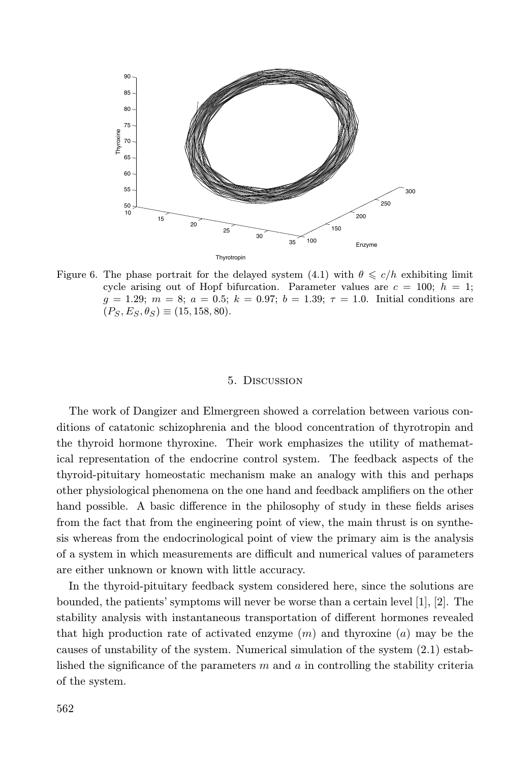

Figure 6. The phase portrait for the delayed system (4.1) with  $\theta \leq c/h$  exhibiting limit cycle arising out of Hopf bifurcation. Parameter values are  $c = 100$ ;  $h = 1$ ;  $g = 1.29; m = 8; a = 0.5; k = 0.97; b = 1.39; \tau = 1.0.$  Initial conditions are  $(P_S, E_S, \theta_S) \equiv (15, 158, 80).$ 

## 5. Discussion

The work of Dangizer and Elmergreen showed a correlation between various conditions of catatonic schizophrenia and the blood concentration of thyrotropin and the thyroid hormone thyroxine. Their work emphasizes the utility of mathematical representation of the endocrine control system. The feedback aspects of the thyroid-pituitary homeostatic mechanism make an analogy with this and perhaps other physiological phenomena on the one hand and feedback amplifiers on the other hand possible. A basic difference in the philosophy of study in these fields arises from the fact that from the engineering point of view, the main thrust is on synthesis whereas from the endocrinological point of view the primary aim is the analysis of a system in which measurements are difficult and numerical values of parameters are either unknown or known with little accuracy.

In the thyroid-pituitary feedback system considered here, since the solutions are bounded, the patients' symptoms will never be worse than a certain level [1], [2]. The stability analysis with instantaneous transportation of different hormones revealed that high production rate of activated enzyme  $(m)$  and thyroxine  $(a)$  may be the causes of unstability of the system. Numerical simulation of the system (2.1) established the significance of the parameters  $m$  and  $a$  in controlling the stability criteria of the system.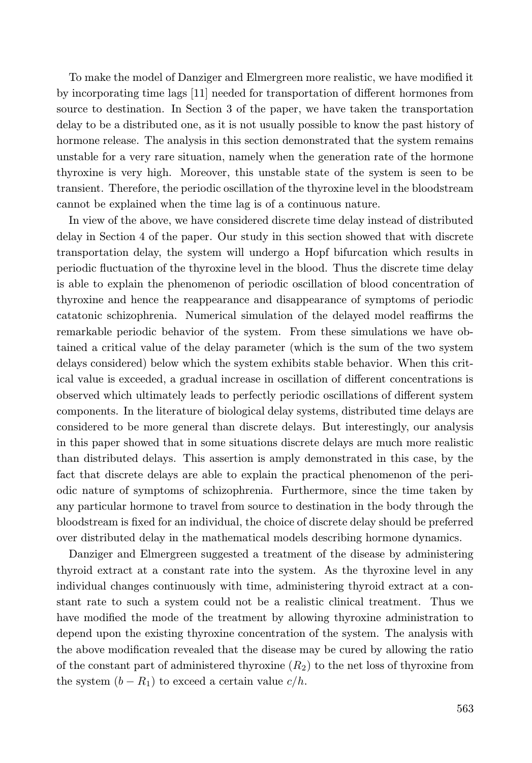To make the model of Danziger and Elmergreen more realistic, we have modified it by incorporating time lags [11] needed for transportation of different hormones from source to destination. In Section 3 of the paper, we have taken the transportation delay to be a distributed one, as it is not usually possible to know the past history of hormone release. The analysis in this section demonstrated that the system remains unstable for a very rare situation, namely when the generation rate of the hormone thyroxine is very high. Moreover, this unstable state of the system is seen to be transient. Therefore, the periodic oscillation of the thyroxine level in the bloodstream cannot be explained when the time lag is of a continuous nature.

In view of the above, we have considered discrete time delay instead of distributed delay in Section 4 of the paper. Our study in this section showed that with discrete transportation delay, the system will undergo a Hopf bifurcation which results in periodic fluctuation of the thyroxine level in the blood. Thus the discrete time delay is able to explain the phenomenon of periodic oscillation of blood concentration of thyroxine and hence the reappearance and disappearance of symptoms of periodic catatonic schizophrenia. Numerical simulation of the delayed model reaffirms the remarkable periodic behavior of the system. From these simulations we have obtained a critical value of the delay parameter (which is the sum of the two system delays considered) below which the system exhibits stable behavior. When this critical value is exceeded, a gradual increase in oscillation of different concentrations is observed which ultimately leads to perfectly periodic oscillations of different system components. In the literature of biological delay systems, distributed time delays are considered to be more general than discrete delays. But interestingly, our analysis in this paper showed that in some situations discrete delays are much more realistic than distributed delays. This assertion is amply demonstrated in this case, by the fact that discrete delays are able to explain the practical phenomenon of the periodic nature of symptoms of schizophrenia. Furthermore, since the time taken by any particular hormone to travel from source to destination in the body through the bloodstream is fixed for an individual, the choice of discrete delay should be preferred over distributed delay in the mathematical models describing hormone dynamics.

Danziger and Elmergreen suggested a treatment of the disease by administering thyroid extract at a constant rate into the system. As the thyroxine level in any individual changes continuously with time, administering thyroid extract at a constant rate to such a system could not be a realistic clinical treatment. Thus we have modified the mode of the treatment by allowing thyroxine administration to depend upon the existing thyroxine concentration of the system. The analysis with the above modification revealed that the disease may be cured by allowing the ratio of the constant part of administered thyroxine  $(R_2)$  to the net loss of thyroxine from the system  $(b - R_1)$  to exceed a certain value  $c/h$ .